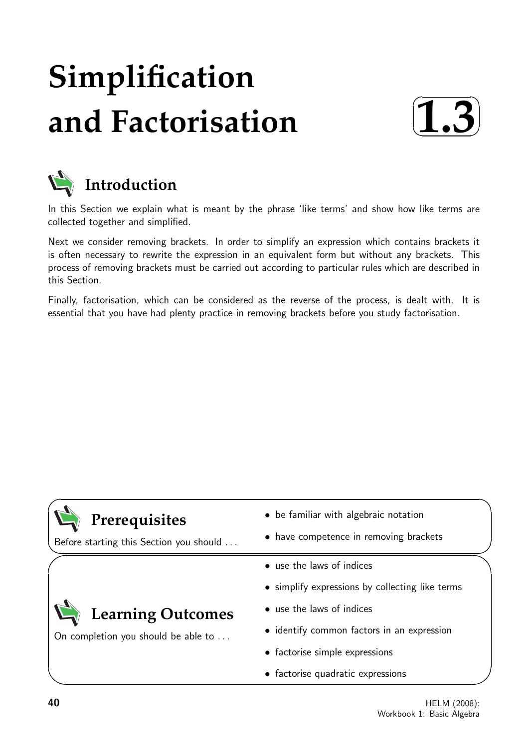# **Simplification and Factorisation**





### **Introduction**

In this Section we explain what is meant by the phrase 'like terms' and show how like terms are collected together and simplified.

Next we consider removing brackets. In order to simplify an expression which contains brackets it is often necessary to rewrite the expression in an equivalent form but without any brackets. This process of removing brackets must be carried out according to particular rules which are described in this Section.

Finally, factorisation, which can be considered as the reverse of the process, is dealt with. It is essential that you have had plenty practice in removing brackets before you study factorisation.

| Prerequisites<br>Before starting this Section you should | • be familiar with algebraic notation<br>• have competence in removing brackets |  |
|----------------------------------------------------------|---------------------------------------------------------------------------------|--|
|                                                          | • use the laws of indices                                                       |  |
|                                                          | • simplify expressions by collecting like terms                                 |  |
| Learning Outcomes                                        | • use the laws of indices                                                       |  |
| On completion you should be able to                      | • identify common factors in an expression                                      |  |
|                                                          | • factorise simple expressions                                                  |  |
|                                                          |                                                                                 |  |

• factorise quadratic expressions

 $\overline{\phantom{0}}$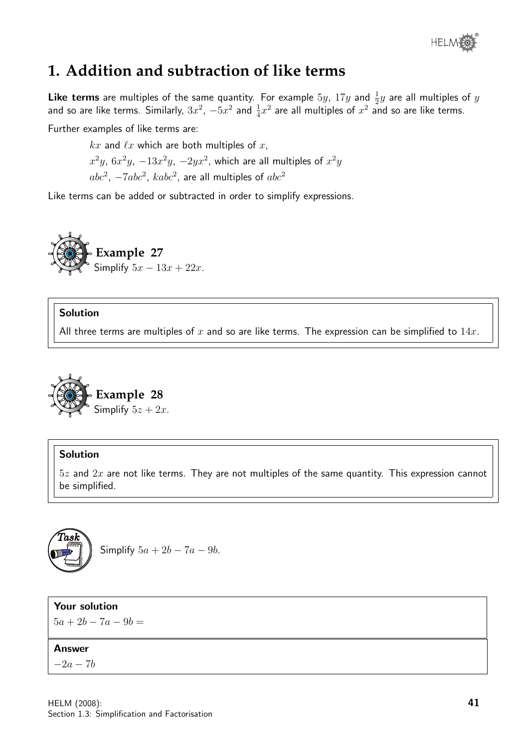

### **1. Addition and subtraction of like terms**

**Like terms** are multiples of the same quantity. For example  $5y$ ,  $17y$  and  $\frac{1}{2}y$  are all multiples of  $y$ and so are like terms. Similarly,  $3x^2$ ,  $-5x^2$  and  $\frac{1}{4}x^2$  are all multiples of  $x^2$  and so are like terms.

Further examples of like terms are:

 $kx$  and  $\ell x$  which are both multiples of x,  $x^2y$ ,  $6x^2y$ ,  $-13x^2y$ ,  $-2yx^2$ , which are all multiples of  $x^2y$  $abc^2$ ,  $-7abc^2$ ,  $kabc^2$ , are all multiples of  $abc^2$ 

Like terms can be added or subtracted in order to simplify expressions.



### Solution

All three terms are multiples of x and so are like terms. The expression can be simplified to  $14x$ .



### Solution

 $5z$  and  $2x$  are not like terms. They are not multiples of the same quantity. This expression cannot be simplified.



Simplify  $5a + 2b - 7a - 9b$ .

Your solution

 $5a + 2b - 7a - 9b =$ 

#### Answer

 $-2a-7b$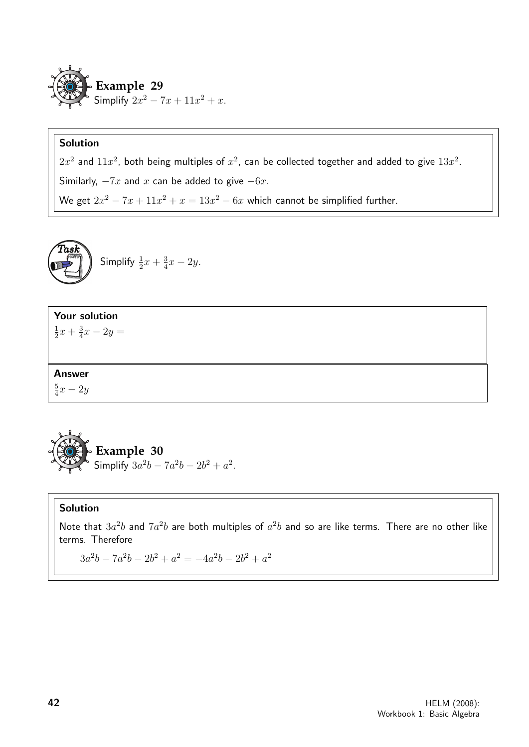

### Solution

 $2x^2$  and  $11x^2$ , both being multiples of  $x^2$ , can be collected together and added to give  $13x^2$ . Similarly,  $-7x$  and x can be added to give  $-6x$ . We get  $2x^2 - 7x + 11x^2 + x = 13x^2 - 6x$  which cannot be simplified further.

$$
\begin{pmatrix}\n\text{Task} \\
\text{Simplify } \frac{1}{2}x + \frac{3}{4}x - 2y.\n\end{pmatrix}
$$

### Your solution

1  $rac{1}{2}x + \frac{3}{4}$  $\frac{3}{4}x - 2y =$ 

### Answer

5  $\frac{5}{4}x - 2y$ 



### Solution

Note that  $3a^2b$  and  $7a^2b$  are both multiples of  $a^2b$  and so are like terms. There are no other like terms. Therefore

 $3a^2b - 7a^2b - 2b^2 + a^2 = -4a^2b - 2b^2 + a^2$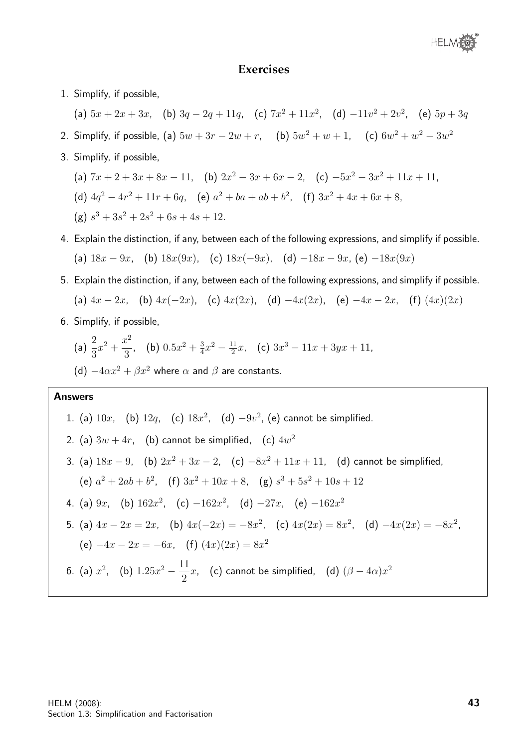### **Exercises**

- 1. Simplify, if possible,
	- (a)  $5x + 2x + 3x$ , (b)  $3q 2q + 11q$ , (c)  $7x^2 + 11x^2$ , (d)  $-11v^2 + 2v^2$ , (e)  $5p + 3q$
- 2. Simplify, if possible, (a)  $5w + 3r 2w + r$ , (b)  $5w^2 + w + 1$ , (c)  $6w^2 + w^2 3w^2$
- 3. Simplify, if possible,
	- (a)  $7x + 2 + 3x + 8x 11$ , (b)  $2x^2 3x + 6x 2$ , (c)  $-5x^2 3x^2 + 11x + 11$ ,
	- (d)  $4q^2 4r^2 + 11r + 6q$ , (e)  $a^2 + ba + ab + b^2$ , (f)  $3x^2 + 4x + 6x + 8$ ,

$$
(g) s3 + 3s2 + 2s2 + 6s + 4s + 12.
$$

- 4. Explain the distinction, if any, between each of the following expressions, and simplify if possible. (a)  $18x - 9x$ , (b)  $18x(9x)$ , (c)  $18x(-9x)$ , (d)  $-18x - 9x$ , (e)  $-18x(9x)$
- 5. Explain the distinction, if any, between each of the following expressions, and simplify if possible. (a)  $4x - 2x$ , (b)  $4x(-2x)$ , (c)  $4x(2x)$ , (d)  $-4x(2x)$ , (e)  $-4x - 2x$ , (f)  $(4x)(2x)$
- 6. Simplify, if possible,

(a) 
$$
\frac{2}{3}x^2 + \frac{x^2}{3}
$$
, (b)  $0.5x^2 + \frac{3}{4}x^2 - \frac{11}{2}x$ , (c)  $3x^3 - 11x + 3yx + 11$ ,

(d)  $-4\alpha x^2 + \beta x^2$  where  $\alpha$  and  $\beta$  are constants.

#### Answers

1. (a) 
$$
10x
$$
, (b)  $12q$ , (c)  $18x^2$ , (d)  $-9v^2$ , (e) cannot be simplified.  
\n2. (a)  $3w + 4r$ , (b) cannot be simplified, (c)  $4w^2$   
\n3. (a)  $18x - 9$ , (b)  $2x^2 + 3x - 2$ , (c)  $-8x^2 + 11x + 11$ , (d) cannot be simplified,  
\n(e)  $a^2 + 2ab + b^2$ , (f)  $3x^2 + 10x + 8$ , (g)  $s^3 + 5s^2 + 10s + 12$   
\n4. (a)  $9x$ , (b)  $162x^2$ , (c)  $-162x^2$ , (d)  $-27x$ , (e)  $-162x^2$   
\n5. (a)  $4x - 2x = 2x$ , (b)  $4x(-2x) = -8x^2$ , (c)  $4x(2x) = 8x^2$ , (d)  $-4x(2x) = -8x^2$ ,  
\n(e)  $-4x - 2x = -6x$ , (f)  $(4x)(2x) = 8x^2$   
\n6. (a)  $x^2$ , (b)  $1.25x^2 - \frac{11}{2}x$ , (c) cannot be simplified, (d)  $(\beta - 4\alpha)x^2$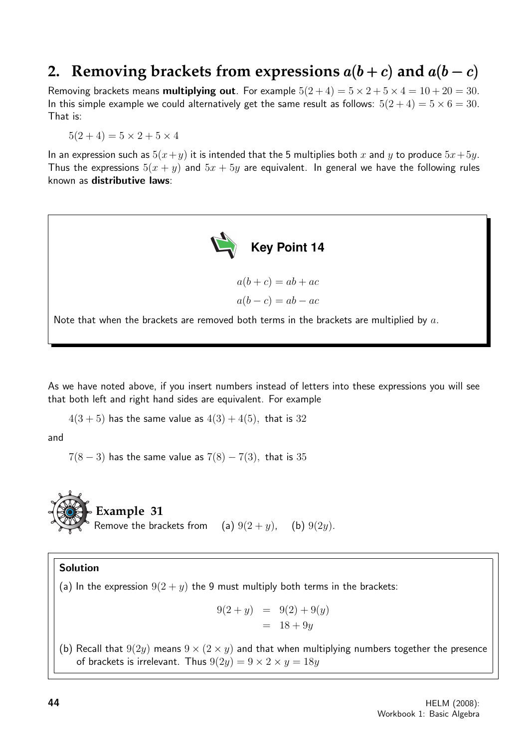### **2. Removing brackets from expressions**  $a(b+c)$  and  $a(b-c)$

Removing brackets means **multiplying out**. For example  $5(2+4) = 5 \times 2 + 5 \times 4 = 10 + 20 = 30$ . In this simple example we could alternatively get the same result as follows:  $5(2+4) = 5 \times 6 = 30$ . That is:

 $5(2+4) = 5 \times 2 + 5 \times 4$ 

In an expression such as  $5(x+y)$  it is intended that the 5 multiplies both x and y to produce  $5x+5y$ . Thus the expressions  $5(x + y)$  and  $5x + 5y$  are equivalent. In general we have the following rules known as distributive laws:



As we have noted above, if you insert numbers instead of letters into these expressions you will see that both left and right hand sides are equivalent. For example

 $4(3 + 5)$  has the same value as  $4(3) + 4(5)$ , that is 32

and

 $7(8-3)$  has the same value as  $7(8) - 7(3)$ , that is 35



### Solution

(a) In the expression  $9(2 + y)$  the 9 must multiply both terms in the brackets:

$$
9(2 + y) = 9(2) + 9(y)
$$
  
= 18 + 9y

(b) Recall that  $9(2y)$  means  $9 \times (2 \times y)$  and that when multiplying numbers together the presence of brackets is irrelevant. Thus  $9(2y) = 9 \times 2 \times y = 18y$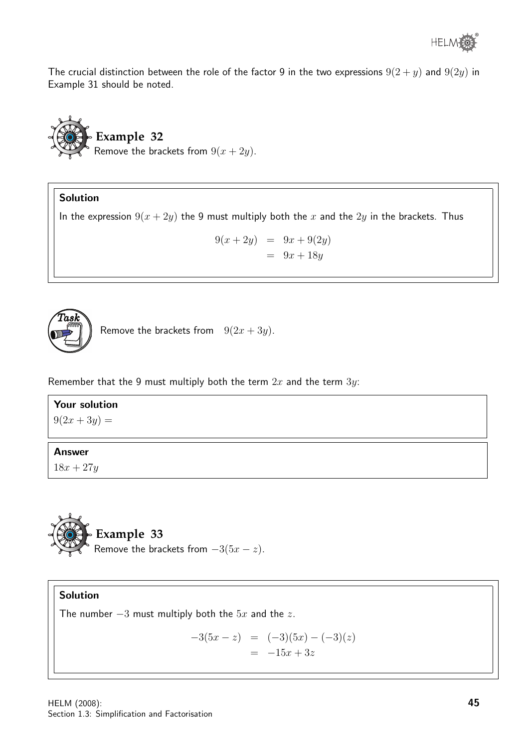The crucial distinction between the role of the factor 9 in the two expressions  $9(2 + y)$  and  $9(2y)$  in Example 31 should be noted.



### Solution

In the expression  $9(x + 2y)$  the 9 must multiply both the x and the  $2y$  in the brackets. Thus

$$
9(x+2y) = 9x + 9(2y)
$$
  

$$
= 9x + 18y
$$



Remove the brackets from  $9(2x + 3y)$ .

Remember that the 9 must multiply both the term  $2x$  and the term  $3y$ :

### Your solution

 $9(2x+3y) =$ 

### Answer

 $18x + 27y$ 



### Solution

The number  $-3$  must multiply both the  $5x$  and the  $z$ .

$$
-3(5x - z) = (-3)(5x) - (-3)(z)
$$
  
= -15x + 3z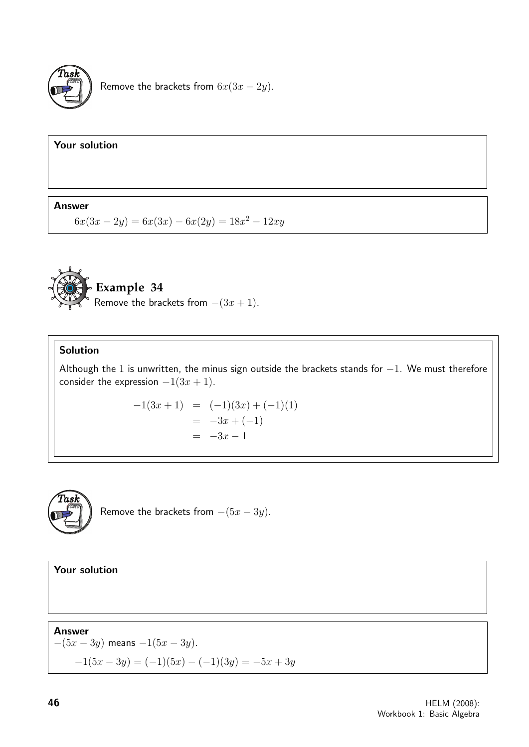

Remove the brackets from  $6x(3x - 2y)$ .

### Your solution

### Answer

 $6x(3x - 2y) = 6x(3x) - 6x(2y) = 18x^2 - 12xy$ 



### Solution

Although the 1 is unwritten, the minus sign outside the brackets stands for  $-1$ . We must therefore consider the expression  $-1(3x+1)$ .

$$
-1(3x + 1) = (-1)(3x) + (-1)(1)
$$
  
= -3x + (-1)  
= -3x - 1



Remove the brackets from  $-(5x - 3y)$ .

Your solution

Answer  $-(5x - 3y)$  means  $-1(5x - 3y)$ .  $-1(5x-3y) = (-1)(5x) - (-1)(3y) = -5x + 3y$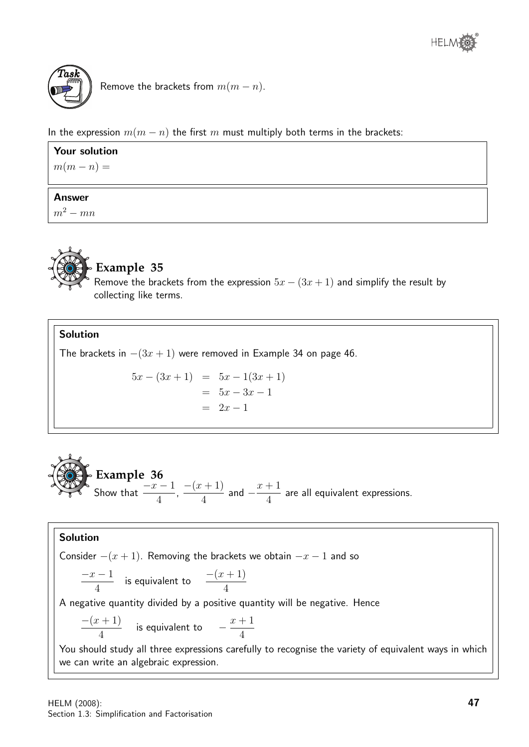

Remove the brackets from  $m(m - n)$ .

In the expression  $m(m - n)$  the first m must multiply both terms in the brackets:

| <b>Your solution</b> |  |  |
|----------------------|--|--|
| $m(m-n) =$           |  |  |
|                      |  |  |
| <b>Answer</b>        |  |  |
| $m^2 - mn$           |  |  |



### **Example 35**

Remove the brackets from the expression  $5x - (3x + 1)$  and simplify the result by collecting like terms.

### Solution

The brackets in  $-(3x+1)$  were removed in Example 34 on page 46.

$$
5x - (3x + 1) = 5x - 1(3x + 1)
$$
  
= 5x - 3x - 1  
= 2x - 1



### Solution

Consider  $-(x+1)$ . Removing the brackets we obtain  $-x-1$  and so  $-x-1$ 4 is equivalent to  $\frac{-(x+1)}{4}$ 4 A negative quantity divided by a positive quantity will be negative. Hence  $-(x+1)$ 4 is equivalent to  $-\frac{x+1}{4}$ 4 You should study all three expressions carefully to recognise the variety of equivalent ways in which we can write an algebraic expression.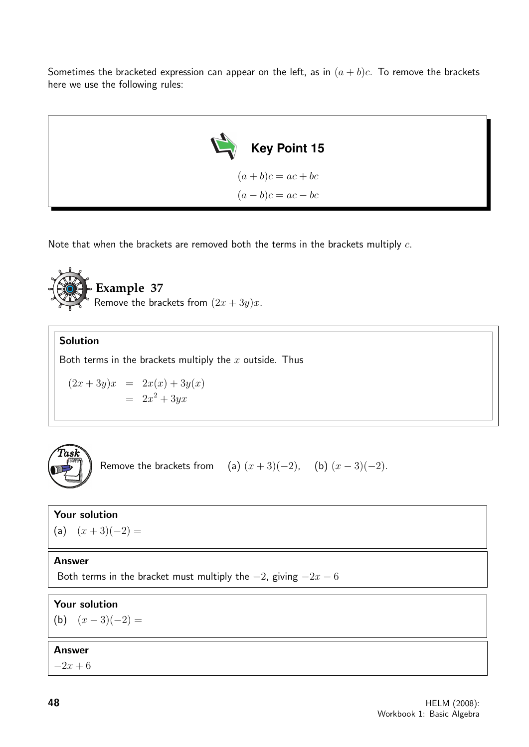Sometimes the bracketed expression can appear on the left, as in  $(a + b)c$ . To remove the brackets here we use the following rules:



Note that when the brackets are removed both the terms in the brackets multiply  $c$ .



### Solution

Both terms in the brackets multiply the  $x$  outside. Thus

$$
(2x+3y)x = 2x(x) + 3y(x)
$$

$$
= 2x2 + 3yx
$$



Remove the brackets from (a)  $(x+3)(-2)$ , (b)  $(x-3)(-2)$ .

### Your solution

(a)  $(x+3)(-2) =$ 

### Answer

Both terms in the bracket must multiply the  $-2$ , giving  $-2x - 6$ 

### Your solution

(b)  $(x-3)(-2) =$ 

### Answer

 $-2x + 6$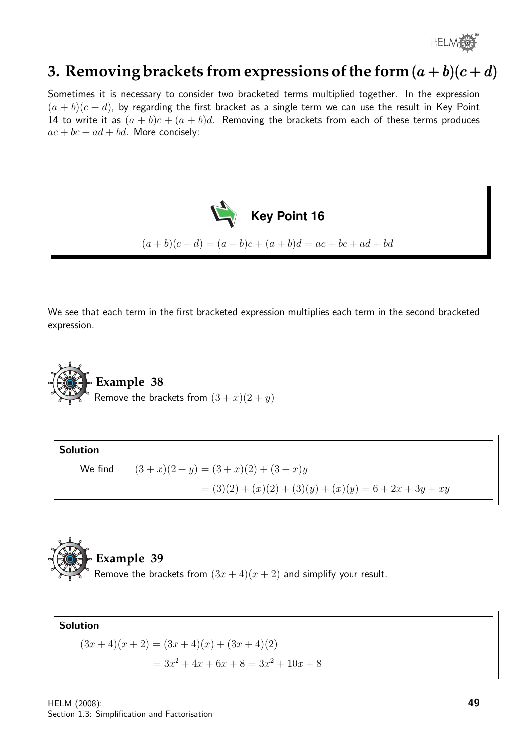

### **3. Removing brackets from expressions of the form**  $(a + b)(c + d)$

Sometimes it is necessary to consider two bracketed terms multiplied together. In the expression  $(a + b)(c + d)$ , by regarding the first bracket as a single term we can use the result in Key Point 14 to write it as  $(a + b)c + (a + b)d$ . Removing the brackets from each of these terms produces  $ac + bc + ad + bd$ . More concisely:



We see that each term in the first bracketed expression multiplies each term in the second bracketed expression.



Solution

We find  $(3 + x)(2 + y) = (3 + x)(2) + (3 + x)y$  $=(3)(2) + (x)(2) + (3)(y) + (x)(y) = 6 + 2x + 3y + xy$ 



Solution  $(3x+4)(x+2) = (3x+4)(x) + (3x+4)(2)$  $= 3x^2 + 4x + 6x + 8 = 3x^2 + 10x + 8$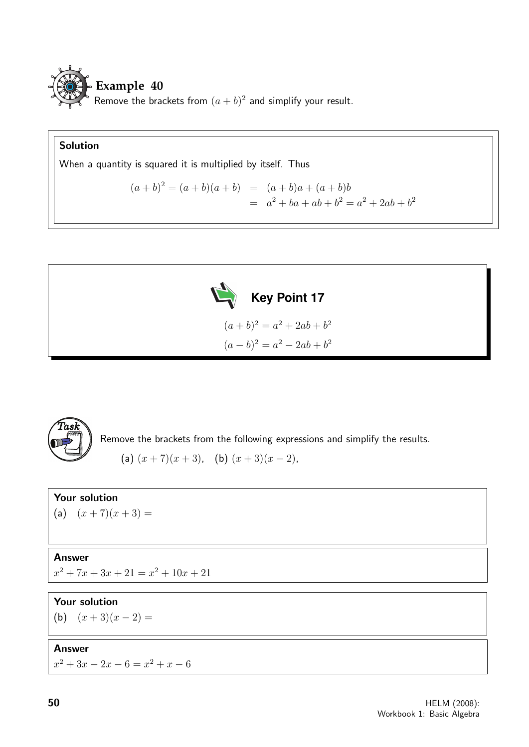

### Solution

When a quantity is squared it is multiplied by itself. Thus

$$
(a+b)^2 = (a+b)(a+b) = (a+b)a + (a+b)b
$$
  
=  $a^2 + ba + ab + b^2 = a^2 + 2ab + b^2$ 



$$
(a+b)^2 = a^2 + 2ab + b^2
$$

$$
(a-b)^2 = a^2 - 2ab + b^2
$$



Remove the brackets from the following expressions and simplify the results.

(a)  $(x+7)(x+3)$ , (b)  $(x+3)(x-2)$ ,

### Your solution

(a)  $(x+7)(x+3) =$ 

### Answer

 $x^2 + 7x + 3x + 21 = x^2 + 10x + 21$ 

### Your solution

(b)  $(x+3)(x-2) =$ 

### Answer

 $x^2 + 3x - 2x - 6 = x^2 + x - 6$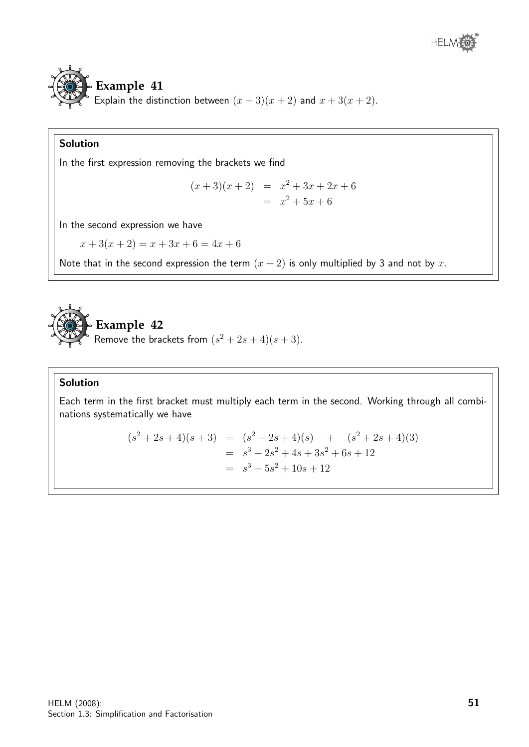



### Solution

In the first expression removing the brackets we find

$$
(x+3)(x+2) = x2 + 3x + 2x + 6
$$
  
= x<sup>2</sup> + 5x + 6

In the second expression we have

$$
x + 3(x + 2) = x + 3x + 6 = 4x + 6
$$

Note that in the second expression the term  $(x + 2)$  is only multiplied by 3 and not by x.



### Solution

Each term in the first bracket must multiply each term in the second. Working through all combinations systematically we have

$$
(s2 + 2s + 4)(s + 3) = (s2 + 2s + 4)(s) + (s2 + 2s + 4)(3)
$$
  
=  $s3 + 2s2 + 4s + 3s2 + 6s + 12$   
=  $s3 + 5s2 + 10s + 12$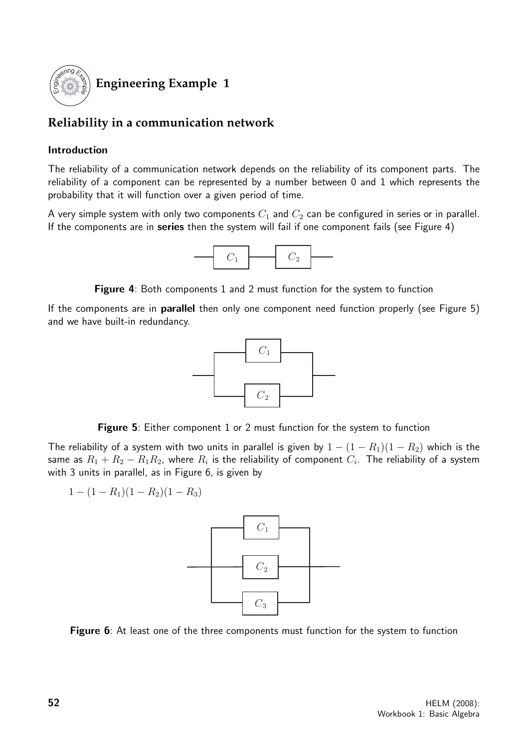

### **Engineering Example 1**

### **Reliability in a communication network**

### Introduction

The reliability of a communication network depends on the reliability of its component parts. The reliability of a component can be represented by a number between 0 and 1 which represents the probability that it will function over a given period of time.

A very simple system with only two components  $C_1$  and  $C_2$  can be configured in series or in parallel. If the components are in series then the system will fail if one component fails (see Figure 4)



Figure 4: Both components 1 and 2 must function for the system to function

If the components are in parallel then only one component need function properly (see Figure 5) and we have built-in redundancy.



**Figure 5:** Either component 1 or 2 must function for the system to function

The reliability of a system with two units in parallel is given by  $1 - (1 - R_1)(1 - R_2)$  which is the same as  $R_1+R_2-R_1R_2$ , where  $R_i$  is the reliability of component  $C_i.$  The reliability of a system with 3 units in parallel, as in Figure 6, is given by

$$
1 - (1 - R_1)(1 - R_2)(1 - R_3)
$$



Figure 6: At least one of the three components must function for the system to function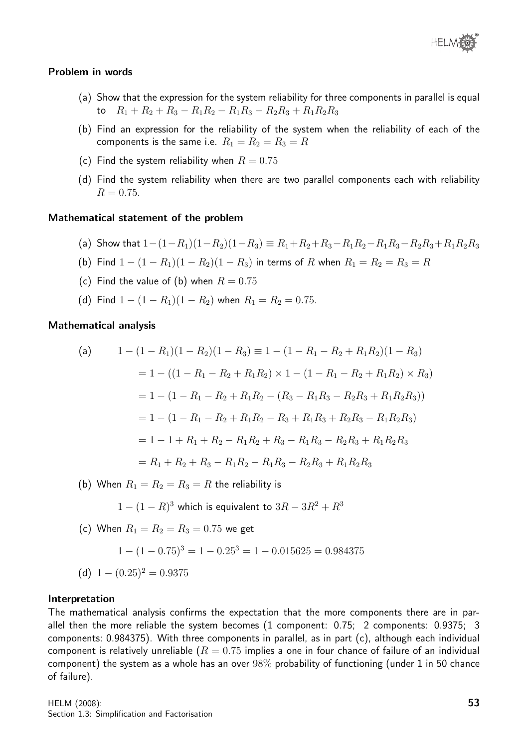

#### Problem in words

- (a) Show that the expression for the system reliability for three components in parallel is equal to  $R_1 + R_2 + R_3 - R_1R_2 - R_1R_3 - R_2R_3 + R_1R_2R_3$
- (b) Find an expression for the reliability of the system when the reliability of each of the components is the same i.e.  $R_1 = R_2 = R_3 = R_4$
- (c) Find the system reliability when  $R = 0.75$
- (d) Find the system reliability when there are two parallel components each with reliability  $R = 0.75$ .

#### Mathematical statement of the problem

- (a) Show that  $1-(1-R_1)(1-R_2)(1-R_3) \equiv R_1+R_2+R_3-R_1R_2-R_1R_3-R_2R_3+R_1R_2R_3$
- (b) Find  $1 (1 R_1)(1 R_2)(1 R_3)$  in terms of R when  $R_1 = R_2 = R_3 = R_4$
- (c) Find the value of (b) when  $R = 0.75$
- (d) Find  $1 (1 R_1)(1 R_2)$  when  $R_1 = R_2 = 0.75$ .

#### Mathematical analysis

(a) 
$$
1 - (1 - R_1)(1 - R_2)(1 - R_3) \equiv 1 - (1 - R_1 - R_2 + R_1R_2)(1 - R_3)
$$

$$
= 1 - ((1 - R_1 - R_2 + R_1R_2) \times 1 - (1 - R_1 - R_2 + R_1R_2) \times R_3)
$$

$$
= 1 - (1 - R_1 - R_2 + R_1R_2 - (R_3 - R_1R_3 - R_2R_3 + R_1R_2R_3))
$$

$$
= 1 - (1 - R_1 - R_2 + R_1R_2 - R_3 + R_1R_3 + R_2R_3 - R_1R_2R_3)
$$

$$
= 1 - 1 + R_1 + R_2 - R_1R_2 + R_3 - R_1R_3 - R_2R_3 + R_1R_2R_3
$$

$$
= R_1 + R_2 + R_3 - R_1R_2 - R_1R_3 - R_2R_3 + R_1R_2R_3
$$

(b) When  $R_1 = R_2 = R_3 = R$  the reliability is

$$
1 - (1 - R)^3
$$
 which is equivalent to  $3R - 3R^2 + R^3$ 

(c) When  $R_1 = R_2 = R_3 = 0.75$  we get

$$
1 - (1 - 0.75)^3 = 1 - 0.25^3 = 1 - 0.015625 = 0.984375
$$

(d)  $1 - (0.25)^2 = 0.9375$ 

#### Interpretation

The mathematical analysis confirms the expectation that the more components there are in parallel then the more reliable the system becomes (1 component: 0.75; 2 components: 0.9375; 3 components: 0.984375). With three components in parallel, as in part (c), although each individual component is relatively unreliable  $(R = 0.75$  implies a one in four chance of failure of an individual component) the system as a whole has an over 98% probability of functioning (under 1 in 50 chance of failure).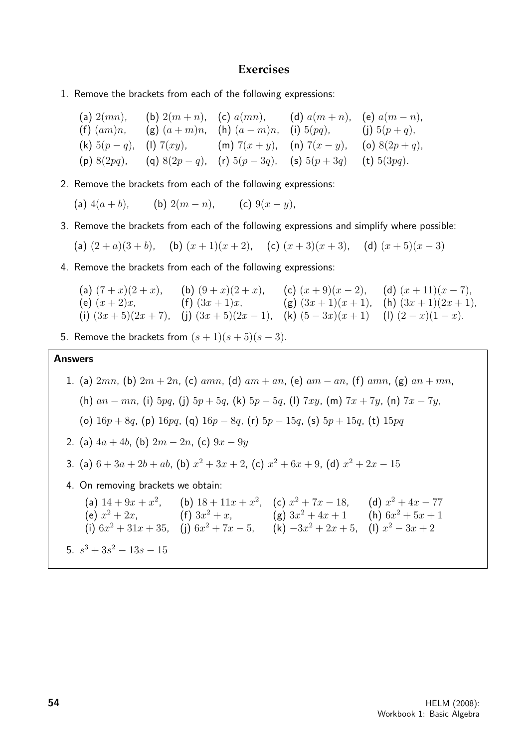### **Exercises**

- 1. Remove the brackets from each of the following expressions:
	- (a)  $2(mn)$ , (b)  $2(m + n)$ , (c)  $a(mn)$ , (d)  $a(m + n)$ , (e)  $a(m n)$ , (f)  $(am)n$ , (g)  $(a+m)n$ , (h)  $(a-m)n$ , (i)  $5(pq)$ , (j)  $5(p+q)$ , (k)  $5(p-q)$ , (l)  $7(xy)$ , (m)  $7(x+y)$ , (n)  $7(x-y)$ , (o)  $8(2p+q)$ , (p) 8(2pq), (q) 8(2p − q), (r) 5(p − 3q), (s) 5(p + 3q) (t) 5(3pq).
- 2. Remove the brackets from each of the following expressions:
	- (a)  $4(a + b)$ , (b)  $2(m n)$ , (c)  $9(x y)$ ,
- 3. Remove the brackets from each of the following expressions and simplify where possible:

(a)  $(2+a)(3+b)$ , (b)  $(x+1)(x+2)$ , (c)  $(x+3)(x+3)$ , (d)  $(x+5)(x-3)$ 

4. Remove the brackets from each of the following expressions:

(a) 
$$
(7+x)(2+x)
$$
, (b)  $(9+x)(2+x)$ , (c)  $(x+9)(x-2)$ , (d)  $(x+11)(x-7)$ ,  
\n(e)  $(x+2)x$ , (f)  $(3x+1)x$ , (g)  $(3x+1)(x+1)$ , (h)  $(3x+1)(2x+1)$ ,  
\n(i)  $(3x+5)(2x+7)$ , (j)  $(3x+5)(2x-1)$ , (k)  $(5-3x)(x+1)$  (l)  $(2-x)(1-x)$ .

5. Remove the brackets from  $(s + 1)(s + 5)(s - 3)$ .

### Answers

1. (a)  $2mn$ , (b)  $2m + 2n$ , (c)  $amn$ , (d)  $am + an$ , (e)  $am - an$ , (f)  $amn$ , (g)  $an + mn$ , (h)  $an - mn$ , (i)  $5pq$ , (i)  $5p + 5q$ , (k)  $5p - 5q$ , (l)  $7xy$ , (m)  $7x + 7y$ , (n)  $7x - 7y$ , (o)  $16p + 8q$ , (p)  $16pq$ , (q)  $16p - 8q$ , (r)  $5p - 15q$ , (s)  $5p + 15q$ , (t)  $15pq$ 

- 2. (a)  $4a + 4b$ , (b)  $2m 2n$ , (c)  $9x 9y$
- 3. (a)  $6 + 3a + 2b + ab$ , (b)  $x^2 + 3x + 2$ , (c)  $x^2 + 6x + 9$ , (d)  $x^2 + 2x 15$
- 4. On removing brackets we obtain:
- (a)  $14 + 9x + x^2$ , (b)  $18 + 11x + x^2$ , (c)  $x^2 + 7x 18$ , (d)  $x^2 + 4x 77$ (e)  $x^2 + 2x$ , <br> (f)  $3x^2 + x$ , <br> (g)  $3x^2 + 4x + 1$  (h)  $6x^2 + 5x + 1$ (i)  $6x^2 + 31x + 35$ , (j)  $6x^2 + 7x - 5$ , (k)  $-3x^2 + 2x + 5$ , (l)  $x^2 - 3x + 2$ 5.  $s^3 + 3s^2 - 13s - 15$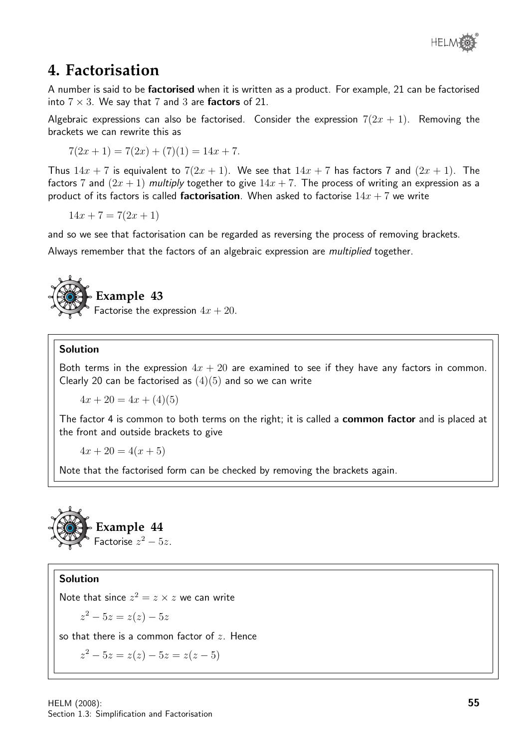

### **4. Factorisation**

A number is said to be factorised when it is written as a product. For example, 21 can be factorised into  $7 \times 3$ . We say that 7 and 3 are factors of 21.

Algebraic expressions can also be factorised. Consider the expression  $7(2x + 1)$ . Removing the brackets we can rewrite this as

$$
7(2x+1) = 7(2x) + (7)(1) = 14x + 7.
$$

Thus  $14x + 7$  is equivalent to  $7(2x + 1)$ . We see that  $14x + 7$  has factors 7 and  $(2x + 1)$ . The factors 7 and  $(2x + 1)$  multiply together to give  $14x + 7$ . The process of writing an expression as a product of its factors is called **factorisation**. When asked to factorise  $14x + 7$  we write

 $14x + 7 = 7(2x + 1)$ 

and so we see that factorisation can be regarded as reversing the process of removing brackets.

Always remember that the factors of an algebraic expression are multiplied together.



### **Example 43**

Factorise the expression  $4x + 20$ .

### Solution

Both terms in the expression  $4x + 20$  are examined to see if they have any factors in common. Clearly 20 can be factorised as  $(4)(5)$  and so we can write

 $4x + 20 = 4x + (4)(5)$ 

The factor 4 is common to both terms on the right; it is called a **common factor** and is placed at the front and outside brackets to give

 $4x + 20 = 4(x + 5)$ 

Note that the factorised form can be checked by removing the brackets again.



### Solution

Note that since  $z^2 = z \times z$  we can write

$$
z^2 - 5z = z(z) - 5z
$$

so that there is a common factor of  $z$ . Hence

 $z^2 - 5z = z(z) - 5z = z(z - 5)$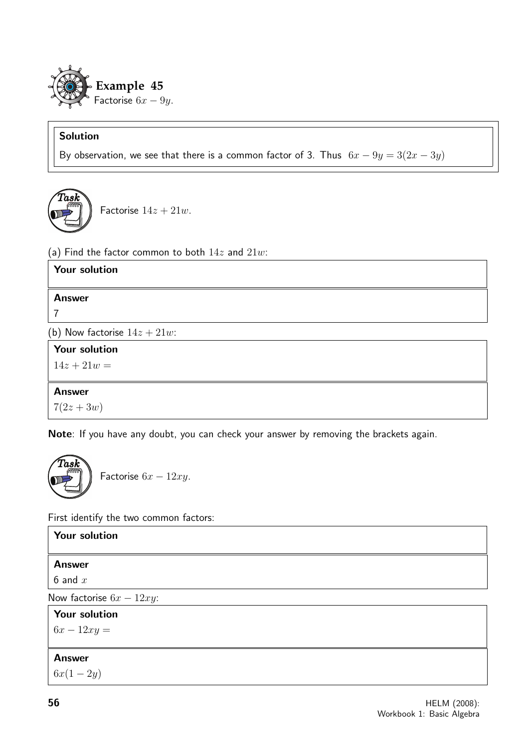

### Solution

By observation, we see that there is a common factor of 3. Thus  $6x - 9y = 3(2x - 3y)$ 



Factorise  $14z + 21w$ .

(a) Find the factor common to both  $14z$  and  $21w$ :

| Your solution                   |
|---------------------------------|
| <b>Answer</b>                   |
|                                 |
|                                 |
| (b) Now factorise $14z + 21w$ : |
| <b>Your solution</b>            |
| $14z + 21w =$                   |
|                                 |
| <b>Answer</b>                   |
| $7(2z + 3w)$                    |

Note: If you have any doubt, you can check your answer by removing the brackets again.



Factorise  $6x - 12xy$ .

First identify the two common factors:

| Your solution               |  |
|-----------------------------|--|
| <b>Answer</b>               |  |
| 6 and $x$                   |  |
| Now factorise $6x - 12xy$ : |  |
| <b>Your solution</b>        |  |
| $6x - 12xy =$               |  |
|                             |  |
| <b>Answer</b>               |  |
| $6x(1-2y)$                  |  |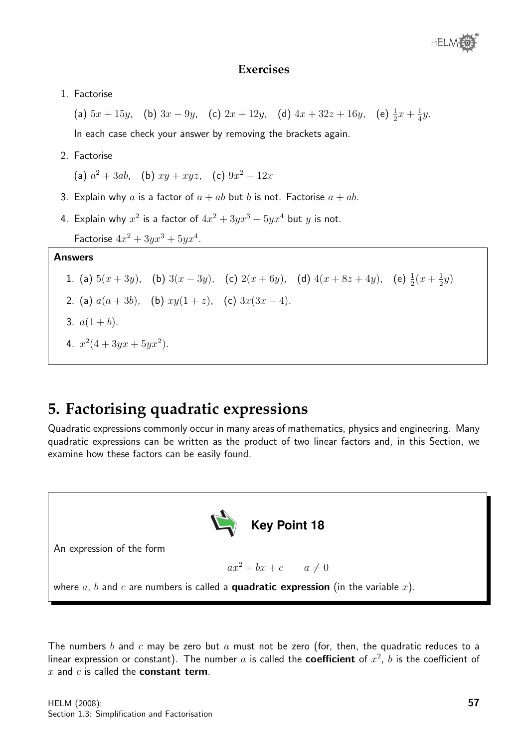### **Exercises**

1. Factorise

(a)  $5x + 15y$ , (b)  $3x - 9y$ , (c)  $2x + 12y$ , (d)  $4x + 32z + 16y$ , (e)  $\frac{1}{2}x + \frac{1}{4}$  $rac{1}{4}y$ . In each case check your answer by removing the brackets again.

2. Factorise

(a)  $a^2 + 3ab$ , (b)  $xy + xyz$ , (c)  $9x^2 - 12x$ 

- 3. Explain why a is a factor of  $a + ab$  but b is not. Factorise  $a + ab$ .
- 4. Explain why  $x^2$  is a factor of  $4x^2+3yx^3+5yx^4$  but  $y$  is not. Factorise  $4x^2 + 3yx^3 + 5yx^4$ .

### Answers

#### 1. (a)  $5(x+3y)$ , (b)  $3(x-3y)$ , (c)  $2(x+6y)$ , (d)  $4(x+8z+4y)$ , (e)  $\frac{1}{2}(x+\frac{1}{2})$  $rac{1}{2}y)$

- 2. (a)  $a(a+3b)$ , (b)  $xy(1+z)$ , (c)  $3x(3x-4)$ .
- 3.  $a(1+b)$ .
- 4.  $x^2(4+3yx+5yx^2)$ .

### **5. Factorising quadratic expressions**

Quadratic expressions commonly occur in many areas of mathematics, physics and engineering. Many quadratic expressions can be written as the product of two linear factors and, in this Section, we examine how these factors can be easily found.



The numbers b and c may be zero but a must not be zero (for, then, the quadratic reduces to a linear expression or constant). The number  $a$  is called the coefficient of  $x^2$ ,  $b$  is the coefficient of  $x$  and  $c$  is called the **constant term**.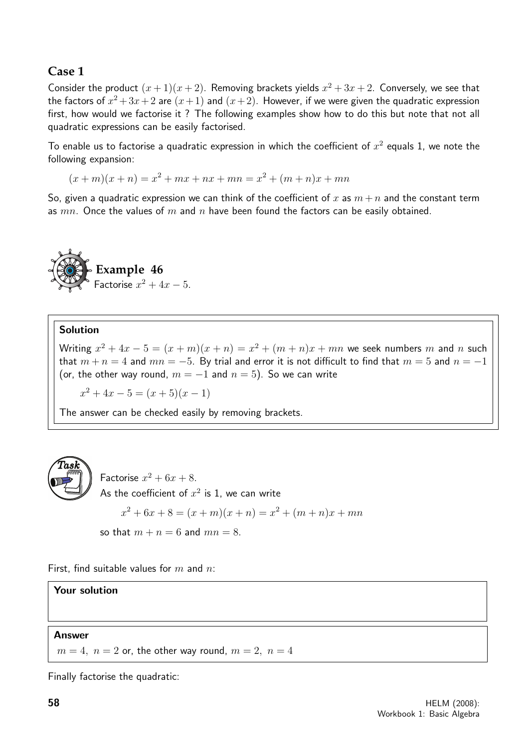### **Case 1**

Consider the product  $(x+1)(x+2)$ . Removing brackets yields  $x^2 + 3x + 2$ . Conversely, we see that the factors of  $x^2+3x+2$  are  $(x+1)$  and  $(x+2)$ . However, if we were given the quadratic expression first, how would we factorise it ? The following examples show how to do this but note that not all quadratic expressions can be easily factorised.

To enable us to factorise a quadratic expression in which the coefficient of  $x^2$  equals 1, we note the following expansion:

 $(x + m)(x + n) = x<sup>2</sup> + mx + nx + mn = x<sup>2</sup> + (m + n)x + mn$ 

So, given a quadratic expression we can think of the coefficient of x as  $m + n$  and the constant term as  $mn$ . Once the values of m and n have been found the factors can be easily obtained.



### Solution

Writing  $x^2 + 4x - 5 = (x + m)(x + n) = x^2 + (m + n)x + mn$  we seek numbers m and n such that  $m + n = 4$  and  $mn = -5$ . By trial and error it is not difficult to find that  $m = 5$  and  $n = -1$ (or, the other way round,  $m = -1$  and  $n = 5$ ). So we can write

 $x^2 + 4x - 5 = (x + 5)(x - 1)$ 

The answer can be checked easily by removing brackets.



Factorise  $x^2 + 6x + 8$ . As the coefficient of  $x^2$  is 1, we can write  $x^2 + 6x + 8 = (x + m)(x + n) = x^2 + (m + n)x + mn$ so that  $m + n = 6$  and  $mn = 8$ .

First, find suitable values for  $m$  and  $n$ :

### Your solution

### Answer

 $m = 4$ ,  $n = 2$  or, the other way round,  $m = 2$ ,  $n = 4$ 

Finally factorise the quadratic: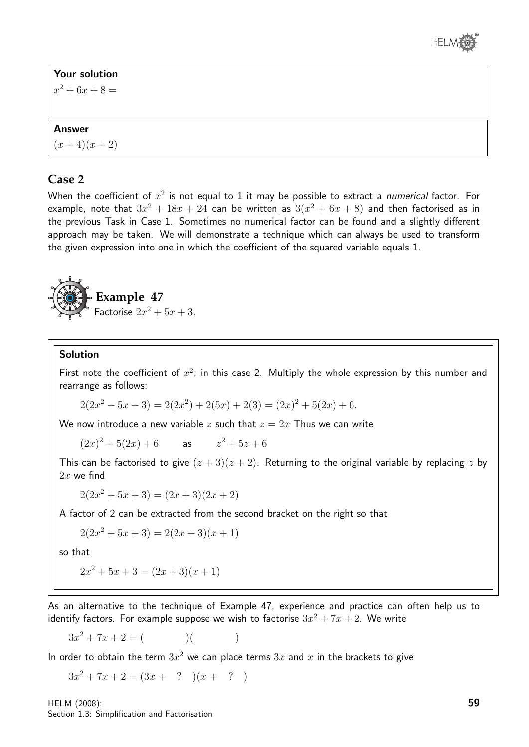

### Your solution

 $x^2 + 6x + 8 =$ 

### Answer

 $(x+4)(x+2)$ 

### **Case 2**

When the coefficient of  $x^2$  is not equal to 1 it may be possible to extract a *numerical* factor. For example, note that  $3x^2 + 18x + 24$  can be written as  $3(x^2 + 6x + 8)$  and then factorised as in the previous Task in Case 1. Sometimes no numerical factor can be found and a slightly different approach may be taken. We will demonstrate a technique which can always be used to transform the given expression into one in which the coefficient of the squared variable equals 1.



### Solution

First note the coefficient of  $x^2$ ; in this case 2. Multiply the whole expression by this number and rearrange as follows:

$$
2(2x^{2} + 5x + 3) = 2(2x^{2}) + 2(5x) + 2(3) = (2x)^{2} + 5(2x) + 6.
$$

We now introduce a new variable z such that  $z = 2x$  Thus we can write

 $(2x)^2 + 5(2x) + 6$  as  $z^2 + 5z + 6$ 

This can be factorised to give  $(z + 3)(z + 2)$ . Returning to the original variable by replacing z by  $2x$  we find

 $2(2x^2+5x+3)=(2x+3)(2x+2)$ 

A factor of 2 can be extracted from the second bracket on the right so that

$$
2(2x^2 + 5x + 3) = 2(2x + 3)(x + 1)
$$

so that

$$
2x^2 + 5x + 3 = (2x + 3)(x + 1)
$$

As an alternative to the technique of Example 47, experience and practice can often help us to identify factors. For example suppose we wish to factorise  $3x^2 + 7x + 2$ . We write

 $3x^2 + 7x + 2 = ($  )( )

In order to obtain the term  $3x^2$  we can place terms  $3x$  and  $x$  in the brackets to give

 $3x^2 + 7x + 2 = (3x + ?)(x + ?)$ 

HELM (2008): Section 1.3: Simplification and Factorisation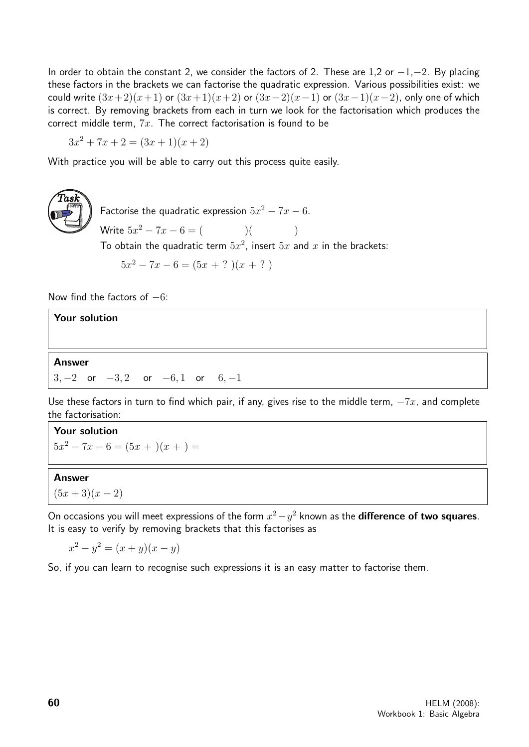In order to obtain the constant 2, we consider the factors of 2. These are 1,2 or  $-1, -2$ . By placing these factors in the brackets we can factorise the quadratic expression. Various possibilities exist: we could write  $(3x+2)(x+1)$  or  $(3x+1)(x+2)$  or  $(3x-2)(x-1)$  or  $(3x-1)(x-2)$ , only one of which is correct. By removing brackets from each in turn we look for the factorisation which produces the correct middle term,  $7x$ . The correct factorisation is found to be

 $3x^2 + 7x + 2 = (3x + 1)(x + 2)$ 

With practice you will be able to carry out this process quite easily.



Factorise the quadratic expression  $5x^2 - 7x - 6$ . Write  $5x^2 - 7x - 6 = ($  ( To obtain the quadratic term  $5x^2$ , insert  $5x$  and  $x$  in the brackets:  $5x^2 - 7x - 6 = (5x + ?)(x + ?)$ 

Now find the factors of  $-6$ :

## Your solution Answer  $3, -2$  or  $-3, 2$  or  $-6, 1$  or  $6, -1$

Use these factors in turn to find which pair, if any, gives rise to the middle term,  $-Tx$ , and complete the factorisation:

Your solution  $5x^2 - 7x - 6 = (5x + )(x + ) =$ 

### Answer

 $(5x+3)(x-2)$ 

On occasions you will meet expressions of the form  $x^2 - y^2$  known as the **difference of two squares**. It is easy to verify by removing brackets that this factorises as

 $x^2 - y^2 = (x + y)(x - y)$ 

So, if you can learn to recognise such expressions it is an easy matter to factorise them.